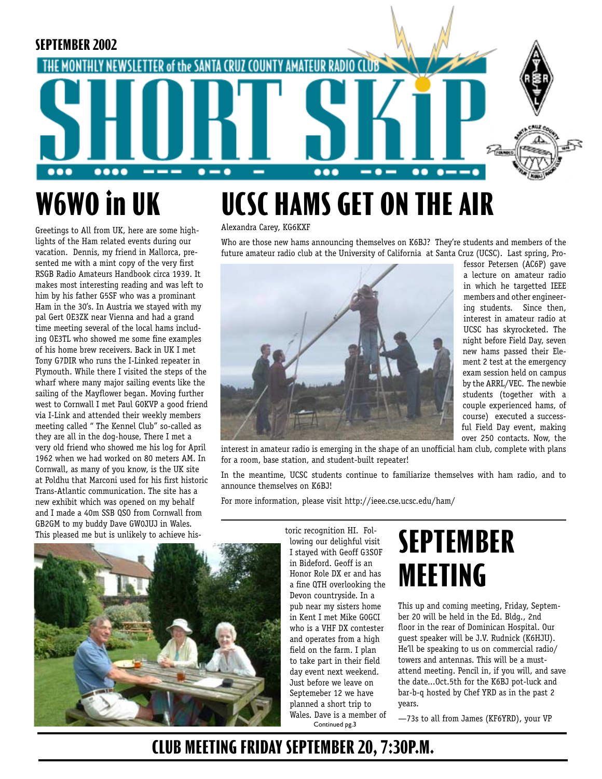

# **W6WO in UK**

Greetings to All from UK, here are some highlights of the Ham related events during our vacation. Dennis, my friend in Mallorca, presented me with a mint copy of the very first RSGB Radio Amateurs Handbook circa 1939. It makes most interesting reading and was left to him by his father G5SF who was a prominant Ham in the 30's. In Austria we stayed with my pal Gert OE3ZK near Vienna and had a grand time meeting several of the local hams including OE3TL who showed me some fine examples of his home brew receivers. Back in UK I met Tony G7DIR who runs the I-Linked repeater in Plymouth. While there I visited the steps of the wharf where many major sailing events like the sailing of the Mayflower began. Moving further west to Cornwall I met Paul G0KVP a good friend via I-Link and attended their weekly members meeting called " The Kennel Club" so-called as they are all in the dog-house, There I met a very old friend who showed me his log for April 1962 when we had worked on 80 meters AM. In Cornwall, as many of you know, is the UK site at Poldhu that Marconi used for his first historic Trans-Atlantic communication. The site has a new exhibit which was opened on my behalf and I made a 40m SSB QSO from Cornwall from GB2GM to my buddy Dave GW0JUJ in Wales. This pleased me but is unlikely to achieve his-<br>toric recognition HI. Fol-

#### Alexandra Carey, KG6KXF

Who are those new hams announcing themselves on K6BJ? They're students and members of the future amateur radio club at the University of California at Santa Cruz (UCSC). Last spring, Pro-



fessor Petersen (AC6P) gave a lecture on amateur radio in which he targetted IEEE members and other engineering students. Since then, interest in amateur radio at UCSC has skyrocketed. The night before Field Day, seven new hams passed their Element 2 test at the emergency exam session held on campus by the ARRL/VEC. The newbie students (together with a couple experienced hams, of course) executed a successful Field Day event, making over 250 contacts. Now, the

interest in amateur radio is emerging in the shape of an unofficial ham club, complete with plans for a room, base station, and student-built repeater!

In the meantime, UCSC students continue to familiarize themselves with ham radio, and to announce themselves on K6BJ!

For more information, please visit http://ieee.cse.ucsc.edu/ham/



Continued pg.3 lowing our delighful visit I stayed with Geoff G3SOF in Bideford. Geoff is an Honor Role DX er and has a fine QTH overlooking the Devon countryside. In a pub near my sisters home in Kent I met Mike G0GCI who is a VHF DX contester and operates from a high field on the farm. I plan to take part in their field day event next weekend. Just before we leave on Septemeber 12 we have planned a short trip to Wales. Dave is a member of

# **SEPTEMBER MEETING**

This up and coming meeting, Friday, September 20 will be held in the Ed. Bldg., 2nd floor in the rear of Dominican Hospital. Our guest speaker will be J.V. Rudnick (K6HJU). He'll be speaking to us on commercial radio/ towers and antennas. This will be a mustattend meeting. Pencil in, if you will, and save the date...Oct.5th for the K6BJ pot-luck and bar-b-q hosted by Chef YRD as in the past 2 years.

—73s to all from James (KF6YRD), your VP

### **CLUB MEETING FRIDAY SEPTEMBER 20, 7:30P.M.**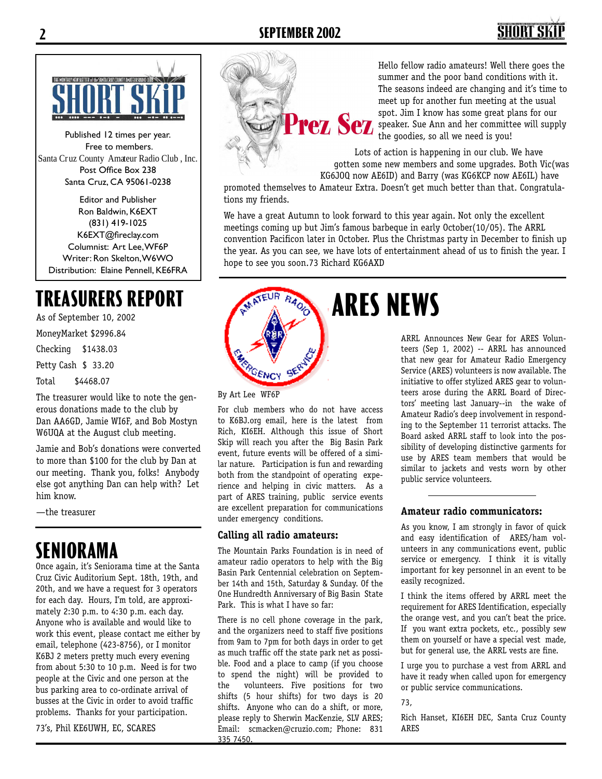# SHORT S



Published 12 times per year. Free to members. Santa Cruz County Amateur Radio Club , Inc. Post Office Box 238 Santa Cruz, CA 95061-0238

Editor and Publisher Ron Baldwin, K6EXT (831) 419-1025 K6EXT@fireclay.com Columnist: Art Lee, WF6P Writer: Ron Skelton, W6WO Distribution: Elaine Pennell, KE6FRA

As of September 10, 2002

MoneyMarket \$2996.84

Checking \$1438.03

Petty Cash \$ 33.20

Total \$4468.07

The treasurer would like to note the generous donations made to the club by Dan AA6GD, Jamie WI6F, and Bob Mostyn W6UQA at the August club meeting.

Jamie and Bob's donations were converted to more than \$100 for the club by Dan at our meeting. Thank you, folks! Anybody else got anything Dan can help with? Let him know.

—the treasurer

### **SENIORAMA**

Once again, it's Seniorama time at the Santa Cruz Civic Auditorium Sept. 18th, 19th, and 20th, and we have a request for 3 operators for each day. Hours, I'm told, are approximately 2:30 p.m. to 4:30 p.m. each day. Anyone who is available and would like to work this event, please contact me either by email, telephone (423-8756), or I monitor K6BJ 2 meters pretty much every evening from about 5:30 to 10 p.m. Need is for two people at the Civic and one person at the bus parking area to co-ordinate arrival of busses at the Civic in order to avoid traffic problems. Thanks for your participation.

73's, Phil KE6UWH, EC, SCARES



Hello fellow radio amateurs! Well there goes the summer and the poor band conditions with it. The seasons indeed are changing and it's time to meet up for another fun meeting at the usual<br>spot. Jim I know has some great plans for our spot. Jim I know has some great plans for our speaker. Sue Ann and her committee will supply the goodies, so all we need is you!

Lots of action is happening in our club. We have gotten some new members and some upgrades. Both Vic(was KG6JOQ now AE6ID) and Barry (was KG6KCP now AE6IL) have

promoted themselves to Amateur Extra. Doesn't get much better than that. Congratulations my friends.

We have a great Autumn to look forward to this year again. Not only the excellent meetings coming up but Jim's famous barbeque in early October(10/05). The ARRL convention Pacificon later in October. Plus the Christmas party in December to finish up the year. As you can see, we have lots of entertainment ahead of us to finish the year. I hope to see you soon.73 Richard KG6AXD



By Art Lee WF6P

For club members who do not have access to K6BJ.org email, here is the latest from Rich, KI6EH. Although this issue of Short Skip will reach you after the Big Basin Park event, future events will be offered of a similar nature. Participation is fun and rewarding both from the standpoint of operating experience and helping in civic matters. As a part of ARES training, public service events are excellent preparation for communications under emergency conditions.

#### **Calling all radio amateurs:**

The Mountain Parks Foundation is in need of amateur radio operators to help with the Big Basin Park Centennial celebration on September 14th and 15th, Saturday & Sunday. Of the One Hundredth Anniversary of Big Basin State Park. This is what I have so far:

There is no cell phone coverage in the park, and the organizers need to staff five positions from 9am to 7pm for both days in order to get as much traffic off the state park net as possible. Food and a place to camp (if you choose to spend the night) will be provided to the volunteers. Five positions for two shifts (5 hour shifts) for two days is 20 shifts. Anyone who can do a shift, or more, please reply to Sherwin MacKenzie, SLV ARES; Email: scmacken@cruzio.com; Phone: 831 335 7450.

ARRL Announces New Gear for ARES Volunteers (Sep 1, 2002) -- ARRL has announced that new gear for Amateur Radio Emergency Service (ARES) volunteers is now available. The initiative to offer stylized ARES gear to volunteers arose during the ARRL Board of Directors' meeting last January--in the wake of Amateur Radio's deep involvement in responding to the September 11 terrorist attacks. The Board asked ARRL staff to look into the possibility of developing distinctive garments for use by ARES team members that would be similar to jackets and vests worn by other public service volunteers.

#### **Amateur radio communicators:**

As you know, I am strongly in favor of quick and easy identification of ARES/ham volunteers in any communications event, public service or emergency. I think it is vitally important for key personnel in an event to be easily recognized.

I think the items offered by ARRL meet the requirement for ARES Identification, especially the orange vest, and you can't beat the price. If you want extra pockets, etc., possibly sew them on yourself or have a special vest made, but for general use, the ARRL vests are fine.

I urge you to purchase a vest from ARRL and have it ready when called upon for emergency or public service communications.

73,

Rich Hanset, KI6EH DEC, Santa Cruz County ARES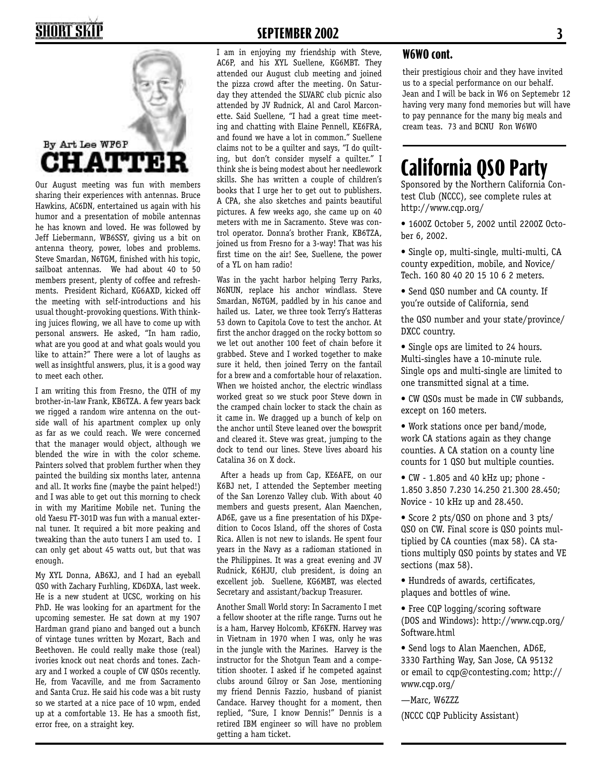## **SHORT SKII**



Our August meeting was fun with members sharing their experiences with antennas. Bruce Hawkins, AC6DN, entertained us again with his humor and a presentation of mobile antennas he has known and loved. He was followed by Jeff Liebermann, WB6SSY, giving us a bit on antenna theory, power, lobes and problems. Steve Smardan, N6TGM, finished with his topic, sailboat antennas. We had about 40 to 50 members present, plenty of coffee and refreshments. President Richard, KG6AXD, kicked off the meeting with self-introductions and his usual thought-provoking questions. With thinking juices flowing, we all have to come up with personal answers. He asked, "In ham radio, what are you good at and what goals would you like to attain?" There were a lot of laughs as well as insightful answers, plus, it is a good way to meet each other.

I am writing this from Fresno, the QTH of my brother-in-law Frank, KB6TZA. A few years back we rigged a random wire antenna on the outside wall of his apartment complex up only as far as we could reach. We were concerned that the manager would object, although we blended the wire in with the color scheme. Painters solved that problem further when they painted the building six months later, antenna and all. It works fine (maybe the paint helped!) and I was able to get out this morning to check in with my Maritime Mobile net. Tuning the old Yaesu FT-301D was fun with a manual external tuner. It required a bit more peaking and tweaking than the auto tuners I am used to. I can only get about 45 watts out, but that was enough.

My XYL Donna, AB6XJ, and I had an eyeball QSO with Zachary Furhling, KD6DXA, last week. He is a new student at UCSC, working on his PhD. He was looking for an apartment for the upcoming semester. He sat down at my 1907 Hardman grand piano and banged out a bunch of vintage tunes written by Mozart, Bach and Beethoven. He could really make those (real) ivories knock out neat chords and tones. Zachary and I worked a couple of CW QSOs recently. He, from Vacaville, and me from Sacramento and Santa Cruz. He said his code was a bit rusty so we started at a nice pace of 10 wpm, ended up at a comfortable 13. He has a smooth fist, error free, on a straight key.

### **SEPTEMBER 2002 3**

I am in enjoying my friendship with Steve, AC6P, and his XYL Suellene, KG6MBT. They attended our August club meeting and joined the pizza crowd after the meeting. On Saturday they attended the SLVARC club picnic also attended by JV Rudnick, Al and Carol Marconette. Said Suellene, "I had a great time meeting and chatting with Elaine Pennell, KE6FRA, and found we have a lot in common." Suellene claims not to be a quilter and says, "I do quilting, but don't consider myself a quilter." I think she is being modest about her needlework skills. She has written a couple of children's books that I urge her to get out to publishers. A CPA, she also sketches and paints beautiful pictures. A few weeks ago, she came up on 40 meters with me in Sacramento. Steve was control operator. Donna's brother Frank, KB6TZA, joined us from Fresno for a 3-way! That was his first time on the air! See, Suellene, the power of a YL on ham radio!

Was in the yacht harbor helping Terry Parks, N6NUN, replace his anchor windlass. Steve Smardan, N6TGM, paddled by in his canoe and hailed us. Later, we three took Terry's Hatteras 53 down to Capitola Cove to test the anchor. At first the anchor dragged on the rocky bottom so we let out another 100 feet of chain before it grabbed. Steve and I worked together to make sure it held, then joined Terry on the fantail for a brew and a comfortable hour of relaxation. When we hoisted anchor, the electric windlass worked great so we stuck poor Steve down in the cramped chain locker to stack the chain as it came in. We dragged up a bunch of kelp on the anchor until Steve leaned over the bowsprit and cleared it. Steve was great, jumping to the dock to tend our lines. Steve lives aboard his Catalina 36 on X dock.

 After a heads up from Cap, KE6AFE, on our K6BJ net, I attended the September meeting of the San Lorenzo Valley club. With about 40 members and guests present, Alan Maenchen, AD6E, gave us a fine presentation of his DXpedition to Cocos Island, off the shores of Costa Rica. Allen is not new to islands. He spent four years in the Navy as a radioman stationed in the Philippines. It was a great evening and JV Rudnick, K6HJU, club president, is doing an excellent job. Suellene, KG6MBT, was elected Secretary and assistant/backup Treasurer.

Another Small World story: In Sacramento I met a fellow shooter at the rifle range. Turns out he is a ham, Harvey Holcomb, KF6KFN. Harvey was in Vietnam in 1970 when I was, only he was in the jungle with the Marines. Harvey is the instructor for the Shotgun Team and a competition shooter. I asked if he competed against clubs around Gilroy or San Jose, mentioning my friend Dennis Fazzio, husband of pianist Candace. Harvey thought for a moment, then replied, "Sure, I know Dennis!" Dennis is a retired IBM engineer so will have no problem getting a ham ticket.

#### **W6WO cont.**

their prestigious choir and they have invited us to a special performance on our behalf. Jean and I will be back in W6 on Septemebr 12 having very many fond memories but will have to pay pennance for the many big meals and cream teas. 73 and BCNU Ron W6WO

### **California QSO Party**

Sponsored by the Northern California Contest Club (NCCC), see complete rules at http://www.cqp.org/

- 1600Z October 5, 2002 until 2200Z October 6, 2002.
- Single op, multi-single, multi-multi, CA county expedition, mobile, and Novice/ Tech. 160 80 40 20 15 10 6 2 meters.
- Send QSO number and CA county. If you're outside of California, send

the QSO number and your state/province/ DXCC country.

- Single ops are limited to 24 hours. Multi-singles have a 10-minute rule. Single ops and multi-single are limited to one transmitted signal at a time.
- CW QSOs must be made in CW subbands, except on 160 meters.
- Work stations once per band/mode, work CA stations again as they change counties. A CA station on a county line counts for 1 QSO but multiple counties.
- CW 1.805 and 40 kHz up; phone 1.850 3.850 7.230 14.250 21.300 28.450; Novice - 10 kHz up and 28.450.
- Score 2 pts/QSO on phone and 3 pts/ QSO on CW. Final score is QSO points multiplied by CA counties (max 58). CA stations multiply QSO points by states and VE sections (max 58).
- Hundreds of awards, certificates, plaques and bottles of wine.
- Free CQP logging/scoring software (DOS and Windows): http://www.cqp.org/ Software.html
- Send logs to Alan Maenchen, AD6E, 3330 Farthing Way, San Jose, CA 95132 or email to cqp@contesting.com; http:// www.cqp.org/
- —Marc, W6ZZZ
- (NCCC CQP Publicity Assistant)